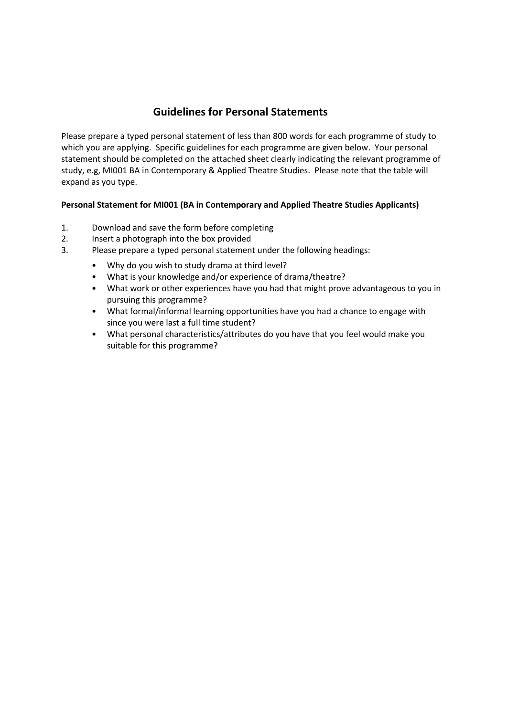## **Guidelines for Personal Statements**

Please prepare a typed personal statement of less than 800 words for each programme of study to which you are applying. Specific guidelines for each programme are given below. Your personal statement should be completed on the attached sheet clearly indicating the relevant programme of study, e.g, MI001 BA in Contemporary & Applied Theatre Studies. Please note that the table will expand as you type.

## **Personal Statement for MI001 (BA in Contemporary and Applied Theatre Studies Applicants)**

- 1. Download and save the form before completing
- 2. Insert a photograph into the box provided
- 3. Please prepare a typed personal statement under the following headings:
	- Why do you wish to study drama at third level?
	- What is your knowledge and/or experience of drama/theatre?
	- What work or other experiences have you had that might prove advantageous to you in pursuing this programme?
	- What formal/informal learning opportunities have you had a chance to engage with since you were last a full time student?
	- What personal characteristics/attributes do you have that you feel would make you suitable for this programme?